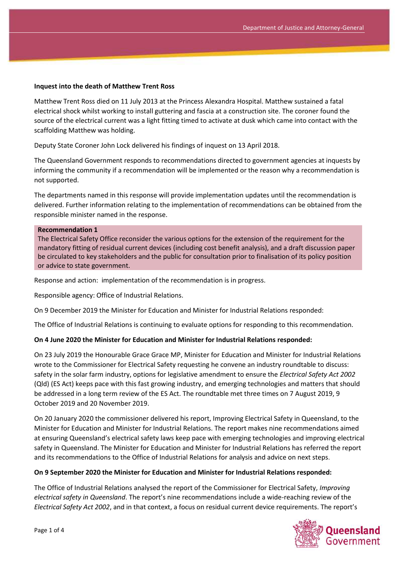#### **Inquest into the death of Matthew Trent Ross**

Matthew Trent Ross died on 11 July 2013 at the Princess Alexandra Hospital. Matthew sustained a fatal electrical shock whilst working to install guttering and fascia at a construction site. The coroner found the source of the electrical current was a light fitting timed to activate at dusk which came into contact with the scaffolding Matthew was holding.

Deputy State Coroner John Lock delivered his findings of inquest on 13 April 2018.

The Queensland Government responds to recommendations directed to government agencies at inquests by informing the community if a recommendation will be implemented or the reason why a recommendation is not supported.

The departments named in this response will provide implementation updates until the recommendation is delivered. Further information relating to the implementation of recommendations can be obtained from the responsible minister named in the response.

#### **Recommendation 1**

The Electrical Safety Office reconsider the various options for the extension of the requirement for the mandatory fitting of residual current devices (including cost benefit analysis), and a draft discussion paper be circulated to key stakeholders and the public for consultation prior to finalisation of its policy position or advice to state government.

Response and action: implementation of the recommendation is in progress.

Responsible agency: Office of Industrial Relations.

On 9 December 2019 the Minister for Education and Minister for Industrial Relations responded:

The Office of Industrial Relations is continuing to evaluate options for responding to this recommendation.

### **On 4 June 2020 the Minister for Education and Minister for Industrial Relations responded:**

On 23 July 2019 the Honourable Grace Grace MP, Minister for Education and Minister for Industrial Relations wrote to the Commissioner for Electrical Safety requesting he convene an industry roundtable to discuss: safety in the solar farm industry, options for legislative amendment to ensure the *Electrical Safety Act 2002* (Qld) (ES Act) keeps pace with this fast growing industry, and emerging technologies and matters that should be addressed in a long term review of the ES Act. The roundtable met three times on 7 August 2019, 9 October 2019 and 20 November 2019.

On 20 January 2020 the commissioner delivered his report, Improving Electrical Safety in Queensland, to the Minister for Education and Minister for Industrial Relations. The report makes nine recommendations aimed at ensuring Queensland's electrical safety laws keep pace with emerging technologies and improving electrical safety in Queensland. The Minister for Education and Minister for Industrial Relations has referred the report and its recommendations to the Office of Industrial Relations for analysis and advice on next steps.

### **On 9 September 2020 the Minister for Education and Minister for Industrial Relations responded:**

The Office of Industrial Relations analysed the report of the Commissioner for Electrical Safety, *Improving electrical safety in Queensland*. The report's nine recommendations include a wide-reaching review of the *Electrical Safety Act 2002*, and in that context, a focus on residual current device requirements. The report's

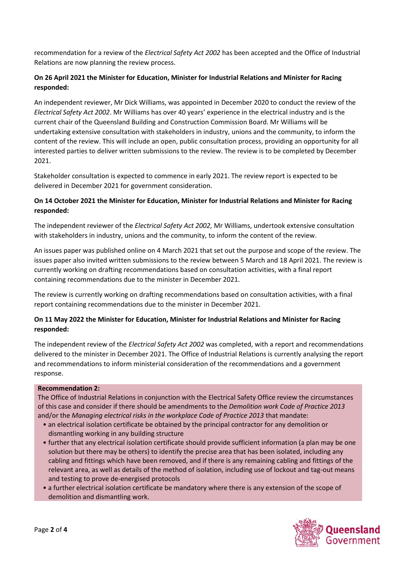recommendation for a review of the *Electrical Safety Act 2002* has been accepted and the Office of Industrial Relations are now planning the review process.

## **On 26 April 2021 the Minister for Education, Minister for Industrial Relations and Minister for Racing responded:**

An independent reviewer, Mr Dick Williams, was appointed in December 2020 to conduct the review of the *Electrical Safety Act 2002*. Mr Williams has over 40 years' experience in the electrical industry and is the current chair of the Queensland Building and Construction Commission Board. Mr Williams will be undertaking extensive consultation with stakeholders in industry, unions and the community, to inform the content of the review. This will include an open, public consultation process, providing an opportunity for all interested parties to deliver written submissions to the review. The review is to be completed by December 2021.

Stakeholder consultation is expected to commence in early 2021. The review report is expected to be delivered in December 2021 for government consideration.

## **On 14 October 2021 the Minister for Education, Minister for Industrial Relations and Minister for Racing responded:**

The independent reviewer of the *Electrical Safety Act 2002,* Mr Williams, undertook extensive consultation with stakeholders in industry, unions and the community, to inform the content of the review.

An issues paper was published online on 4 March 2021 that set out the purpose and scope of the review. The issues paper also invited written submissions to the review between 5 March and 18 April 2021. The review is currently working on drafting recommendations based on consultation activities, with a final report containing recommendations due to the minister in December 2021.

The review is currently working on drafting recommendations based on consultation activities, with a final report containing recommendations due to the minister in December 2021.

## **On 11 May 2022 the Minister for Education, Minister for Industrial Relations and Minister for Racing responded:**

The independent review of the *Electrical Safety Act 2002* was completed, with a report and recommendations delivered to the minister in December 2021. The Office of Industrial Relations is currently analysing the report and recommendations to inform ministerial consideration of the recommendations and a government response.

## **Recommendation 2:**

The Office of Industrial Relations in conjunction with the Electrical Safety Office review the circumstances of this case and consider if there should be amendments to the *Demolition work Code of Practice 2013* and/or the *Managing electrical risks in the workplace Code of Practice 2013* that mandate:

- an electrical isolation certificate be obtained by the principal contractor for any demolition or dismantling working in any building structure
- further that any electrical isolation certificate should provide sufficient information (a plan may be one solution but there may be others) to identify the precise area that has been isolated, including any cabling and fittings which have been removed, and if there is any remaining cabling and fittings of the relevant area, as well as details of the method of isolation, including use of lockout and tag-out means and testing to prove de-energised protocols
- a further electrical isolation certificate be mandatory where there is any extension of the scope of demolition and dismantling work.

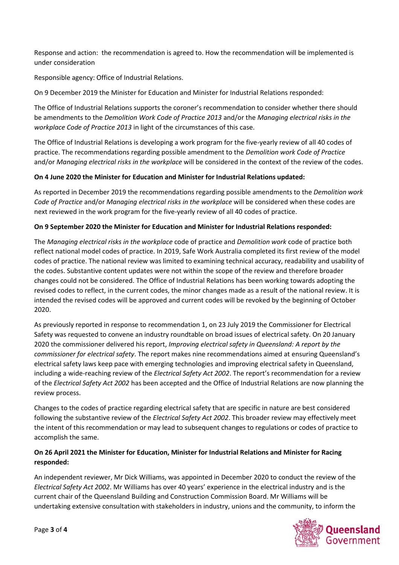Response and action: the recommendation is agreed to. How the recommendation will be implemented is under consideration

Responsible agency: Office of Industrial Relations.

On 9 December 2019 the Minister for Education and Minister for Industrial Relations responded:

The Office of Industrial Relations supports the coroner's recommendation to consider whether there should be amendments to the *Demolition Work Code of Practice 2013* and/or the *Managing electrical risks in the workplace Code of Practice 2013* in light of the circumstances of this case.

The Office of Industrial Relations is developing a work program for the five-yearly review of all 40 codes of practice. The recommendations regarding possible amendment to the *Demolition work Code of Practice* and/or *Managing electrical risks in the workplace* will be considered in the context of the review of the codes.

## **On 4 June 2020 the Minister for Education and Minister for Industrial Relations updated:**

As reported in December 2019 the recommendations regarding possible amendments to the *Demolition work Code of Practice* and/or *Managing electrical risks in the workplace* will be considered when these codes are next reviewed in the work program for the five-yearly review of all 40 codes of practice.

## **On 9 September 2020 the Minister for Education and Minister for Industrial Relations responded:**

The *Managing electrical risks in the workplace* code of practice and *Demolition work* code of practice both reflect national model codes of practice. In 2019, Safe Work Australia completed its first review of the model codes of practice. The national review was limited to examining technical accuracy, readability and usability of the codes. Substantive content updates were not within the scope of the review and therefore broader changes could not be considered. The Office of Industrial Relations has been working towards adopting the revised codes to reflect, in the current codes, the minor changes made as a result of the national review. It is intended the revised codes will be approved and current codes will be revoked by the beginning of October 2020.

As previously reported in response to recommendation 1, on 23 July 2019 the Commissioner for Electrical Safety was requested to convene an industry roundtable on broad issues of electrical safety. On 20 January 2020 the commissioner delivered his report, *Improving electrical safety in Queensland: A report by the commissioner for electrical safety*. The report makes nine recommendations aimed at ensuring Queensland's electrical safety laws keep pace with emerging technologies and improving electrical safety in Queensland, including a wide-reaching review of the *Electrical Safety Act 2002*. The report's recommendation for a review of the *Electrical Safety Act 2002* has been accepted and the Office of Industrial Relations are now planning the review process.

Changes to the codes of practice regarding electrical safety that are specific in nature are best considered following the substantive review of the *Electrical Safety Act 2002*. This broader review may effectively meet the intent of this recommendation or may lead to subsequent changes to regulations or codes of practice to accomplish the same.

# **On 26 April 2021 the Minister for Education, Minister for Industrial Relations and Minister for Racing responded:**

An independent reviewer, Mr Dick Williams, was appointed in December 2020 to conduct the review of the *Electrical Safety Act 2002*. Mr Williams has over 40 years' experience in the electrical industry and is the current chair of the Queensland Building and Construction Commission Board. Mr Williams will be undertaking extensive consultation with stakeholders in industry, unions and the community, to inform the